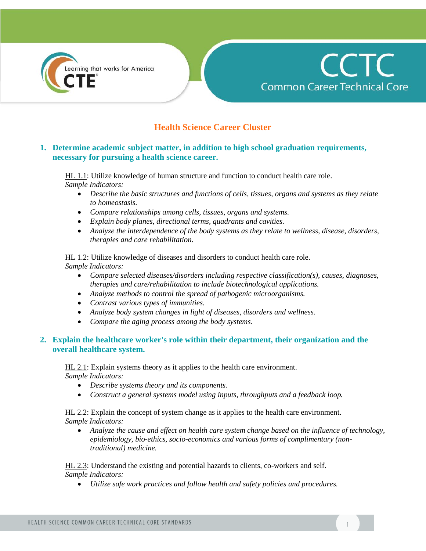



# **Health Science Career Cluster**

## **1. Determine academic subject matter, in addition to high school graduation requirements, necessary for pursuing a health science career.**

HL 1.1: Utilize knowledge of human structure and function to conduct health care role. *Sample Indicators:*

- *Describe the basic structures and functions of cells, tissues, organs and systems as they relate to homeostasis.*
- *Compare relationships among cells, tissues, organs and systems.*
- *Explain body planes, directional terms, quadrants and cavities.*
- *Analyze the interdependence of the body systems as they relate to wellness, disease, disorders, therapies and care rehabilitation.*

HL 1.2: Utilize knowledge of diseases and disorders to conduct health care role. *Sample Indicators:*

- *Compare selected diseases/disorders including respective classification(s), causes, diagnoses, therapies and care/rehabilitation to include biotechnological applications.*
- *Analyze methods to control the spread of pathogenic microorganisms.*
- *Contrast various types of immunities.*
- *Analyze body system changes in light of diseases, disorders and wellness.*
- *Compare the aging process among the body systems.*

#### **2. Explain the healthcare worker's role within their department, their organization and the overall healthcare system.**

HL 2.1: Explain systems theory as it applies to the health care environment. *Sample Indicators:* 

- *Describe systems theory and its components.*
- *Construct a general systems model using inputs, throughputs and a feedback loop.*

HL 2.2: Explain the concept of system change as it applies to the health care environment. *Sample Indicators:* 

 *Analyze the cause and effect on health care system change based on the influence of technology, epidemiology, bio-ethics, socio-economics and various forms of complimentary (nontraditional) medicine.*

HL 2.3: Understand the existing and potential hazards to clients, co-workers and self. *Sample Indicators:* 

*Utilize safe work practices and follow health and safety policies and procedures.*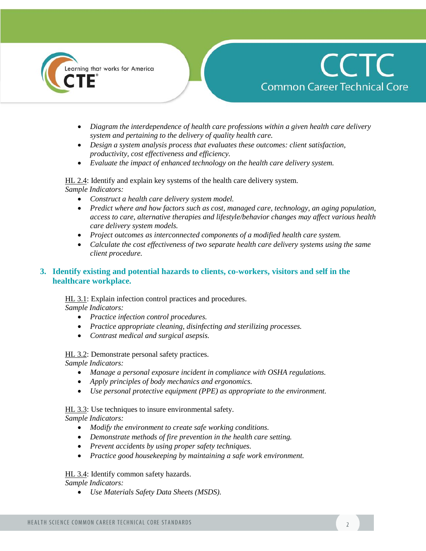



- *Diagram the interdependence of health care professions within a given health care delivery system and pertaining to the delivery of quality health care.*
- *Design a system analysis process that evaluates these outcomes: client satisfaction, productivity, cost effectiveness and efficiency.*
- *Evaluate the impact of enhanced technology on the health care delivery system.*

HL 2.4: Identify and explain key systems of the health care delivery system. *Sample Indicators:* 

- *Construct a health care delivery system model.*
- *Predict where and how factors such as cost, managed care, technology, an aging population, access to care, alternative therapies and lifestyle/behavior changes may affect various health care delivery system models.*
- *Project outcomes as interconnected components of a modified health care system.*
- *Calculate the cost effectiveness of two separate health care delivery systems using the same client procedure.*

## **3. Identify existing and potential hazards to clients, co-workers, visitors and self in the healthcare workplace.**

HL 3.1: Explain infection control practices and procedures. *Sample Indicators:*

- *Practice infection control procedures.*
- *Practice appropriate cleaning, disinfecting and sterilizing processes.*
- *Contrast medical and surgical asepsis.*

HL 3.2: Demonstrate personal safety practices.

*Sample Indicators:*

- *Manage a personal exposure incident in compliance with OSHA regulations.*
- *Apply principles of body mechanics and ergonomics.*
- *Use personal protective equipment (PPE) as appropriate to the environment.*

HL 3.3: Use techniques to insure environmental safety.

*Sample Indicators:* 

- *Modify the environment to create safe working conditions.*
- *Demonstrate methods of fire prevention in the health care setting.*
- *Prevent accidents by using proper safety techniques.*
- *Practice good housekeeping by maintaining a safe work environment.*

HL 3.4: Identify common safety hazards. *Sample Indicators:* 

*Use Materials Safety Data Sheets (MSDS).*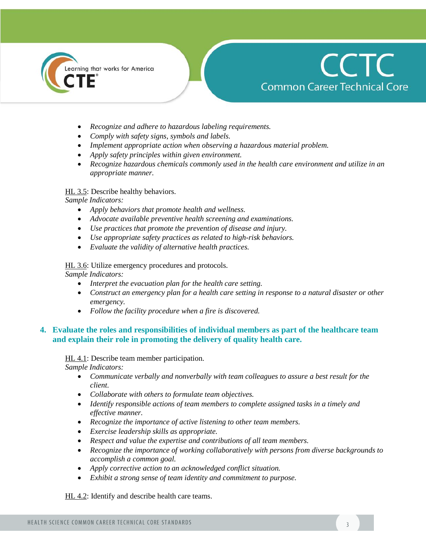



- *Recognize and adhere to hazardous labeling requirements.*
- *Comply with safety signs, symbols and labels.*
- *Implement appropriate action when observing a hazardous material problem.*
- *Apply safety principles within given environment.*
- *Recognize hazardous chemicals commonly used in the health care environment and utilize in an appropriate manner.*

#### HL 3.5: Describe healthy behaviors.

*Sample Indicators:* 

- *Apply behaviors that promote health and wellness.*
- *Advocate available preventive health screening and examinations.*
- *Use practices that promote the prevention of disease and injury.*
- *Use appropriate safety practices as related to high-risk behaviors.*
- *Evaluate the validity of alternative health practices.*

HL 3.6: Utilize emergency procedures and protocols.

*Sample Indicators:* 

- *Interpret the evacuation plan for the health care setting.*
- *Construct an emergency plan for a health care setting in response to a natural disaster or other emergency.*
- *Follow the facility procedure when a fire is discovered.*

#### **4. Evaluate the roles and responsibilities of individual members as part of the healthcare team and explain their role in promoting the delivery of quality health care.**

HL 4.1: Describe team member participation. *Sample Indicators:* 

- *Communicate verbally and nonverbally with team colleagues to assure a best result for the client.*
- *Collaborate with others to formulate team objectives.*
- *Identify responsible actions of team members to complete assigned tasks in a timely and effective manner.*
- *Recognize the importance of active listening to other team members.*
- *Exercise leadership skills as appropriate.*
- *Respect and value the expertise and contributions of all team members.*
- *Recognize the importance of working collaboratively with persons from diverse backgrounds to accomplish a common goal.*
- *Apply corrective action to an acknowledged conflict situation.*
- *Exhibit a strong sense of team identity and commitment to purpose.*

HL 4.2: Identify and describe health care teams.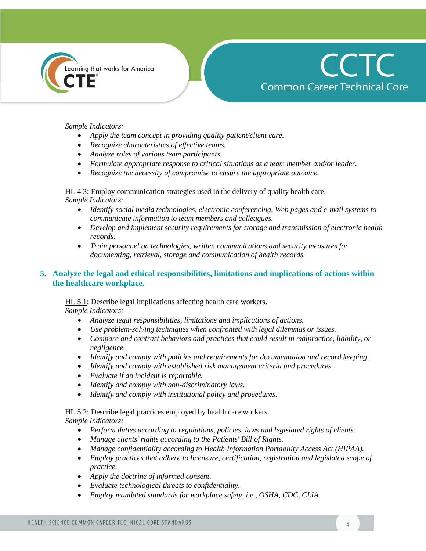



#### *Sample Indicators:*

- *Apply the team concept in providing quality patient/client care.*
- *Recognize characteristics of effective teams.*
- *Analyze roles of various team participants.*
- *Formulate appropriate response to critical situations as a team member and/or leader.*
- *Recognize the necessity of compromise to ensure the appropriate outcome.*

HL 4.3: Employ communication strategies used in the delivery of quality health care. *Sample Indicators:* 

- *Identify social media technologies, electronic conferencing, Web pages and e-mail systems to communicate information to team members and colleagues.*
- *Develop and implement security requirements for storage and transmission of electronic health records.*
- *Train personnel on technologies, written communications and security measures for documenting, retrieval, storage and communication of health records.*

#### **5. Analyze the legal and ethical responsibilities, limitations and implications of actions within the healthcare workplace.**

# HL 5.1: Describe legal implications affecting health care workers.

*Sample Indicators:* 

- *Analyze legal responsibilities, limitations and implications of actions.*
- *Use problem-solving techniques when confronted with legal dilemmas or issues.*
- *Compare and contrast behaviors and practices that could result in malpractice, liability, or negligence.*
- *Identify and comply with policies and requirements for documentation and record keeping.*
- *Identify and comply with established risk management criteria and procedures.*
- *Evaluate if an incident is reportable.*
- *Identify and comply with non-discriminatory laws.*
- *Identify and comply with institutional policy and procedures.*

#### HL 5.2: Describe legal practices employed by health care workers.

- *Perform duties according to regulations, policies, laws and legislated rights of clients.*
- *Manage clients' rights according to the Patients' Bill of Rights.*
- *Manage confidentiality according to Health Information Portability Access Act (HIPAA).*
- *Employ practices that adhere to licensure, certification, registration and legislated scope of practice.*
- *Apply the doctrine of informed consent.*
- *Evaluate technological threats to confidentiality.*
- *Employ mandated standards for workplace safety, i.e., OSHA, CDC, CLIA.*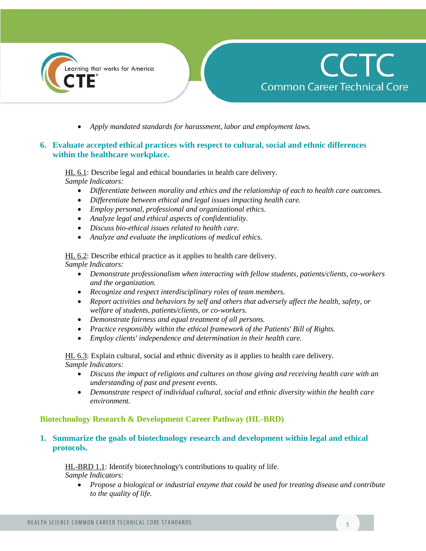



*Apply mandated standards for harassment, labor and employment laws.*

#### **6. Evaluate accepted ethical practices with respect to cultural, social and ethnic differences within the healthcare workplace.**

HL 6.1: Describe legal and ethical boundaries in health care delivery. *Sample Indicators:* 

- *Differentiate between morality and ethics and the relationship of each to health care outcomes.*
- *Differentiate between ethical and legal issues impacting health care.*
- *Employ personal, professional and organizational ethics.*
- *Analyze legal and ethical aspects of confidentiality.*
- *Discuss bio-ethical issues related to health care.*
- *Analyze and evaluate the implications of medical ethics.*

HL 6.2: Describe ethical practice as it applies to health care delivery. *Sample Indicators:* 

- *Demonstrate professionalism when interacting with fellow students, patients/clients, co-workers and the organization.*
- *Recognize and respect interdisciplinary roles of team members.*
- *Report activities and behaviors by self and others that adversely affect the health, safety, or welfare of students, patients/clients, or co-workers.*
- *Demonstrate fairness and equal treatment of all persons.*
- *Practice responsibly within the ethical framework of the Patients' Bill of Rights.*
- *Employ clients' independence and determination in their health care.*

HL 6.3: Explain cultural, social and ethnic diversity as it applies to health care delivery. *Sample Indicators:* 

- *Discuss the impact of religions and cultures on those giving and receiving health care with an understanding of past and present events.*
- *Demonstrate respect of individual cultural, social and ethnic diversity within the health care environment.*

#### **Biotechnology Research & Development Career Pathway (HL-BRD)**

#### **1. Summarize the goals of biotechnology research and development within legal and ethical protocols.**

HL-BRD 1.1: Identify biotechnology's contributions to quality of life. *Sample Indicators:* 

 *Propose a biological or industrial enzyme that could be used for treating disease and contribute to the quality of life.*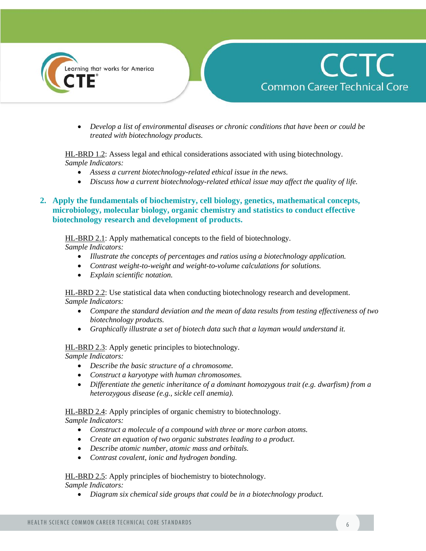



 *Develop a list of environmental diseases or chronic conditions that have been or could be treated with biotechnology products.*

#### HL-BRD 1.2: Assess legal and ethical considerations associated with using biotechnology. *Sample Indicators:*

- *Assess a current biotechnology-related ethical issue in the news.*
- *Discuss how a current biotechnology-related ethical issue may affect the quality of life.*

## **2. Apply the fundamentals of biochemistry, cell biology, genetics, mathematical concepts, microbiology, molecular biology, organic chemistry and statistics to conduct effective biotechnology research and development of products.**

HL-BRD 2.1: Apply mathematical concepts to the field of biotechnology. *Sample Indicators:* 

- *Illustrate the concepts of percentages and ratios using a biotechnology application.*
- *Contrast weight-to-weight and weight-to-volume calculations for solutions.*
- *Explain scientific notation.*

HL-BRD 2.2: Use statistical data when conducting biotechnology research and development. *Sample Indicators:* 

- *Compare the standard deviation and the mean of data results from testing effectiveness of two biotechnology products.*
- *Graphically illustrate a set of biotech data such that a layman would understand it.*

HL-BRD 2.3: Apply genetic principles to biotechnology.

*Sample Indicators:* 

- *Describe the basic structure of a chromosome.*
- *Construct a karyotype with human chromosomes.*
- *Differentiate the genetic inheritance of a dominant homozygous trait (e.g. dwarfism) from a heterozygous disease (e.g., sickle cell anemia).*

HL-BRD 2.4: Apply principles of organic chemistry to biotechnology.

*Sample Indicators:* 

- *Construct a molecule of a compound with three or more carbon atoms.*
- *Create an equation of two organic substrates leading to a product.*
- *Describe atomic number, atomic mass and orbitals.*
- *Contrast covalent, ionic and hydrogen bonding.*

HL-BRD 2.5: Apply principles of biochemistry to biotechnology. *Sample Indicators:* 

*Diagram six chemical side groups that could be in a biotechnology product.*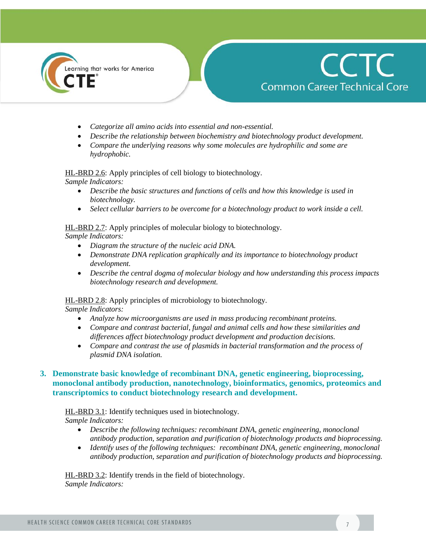

# **CCTC Common Career Technical Core**

- *Categorize all amino acids into essential and non-essential.*
- *Describe the relationship between biochemistry and biotechnology product development.*
- *Compare the underlying reasons why some molecules are hydrophilic and some are hydrophobic.*

HL-BRD 2.6: Apply principles of cell biology to biotechnology.

*Sample Indicators:* 

- *Describe the basic structures and functions of cells and how this knowledge is used in biotechnology.*
- *Select cellular barriers to be overcome for a biotechnology product to work inside a cell.*

#### HL-BRD 2.7: Apply principles of molecular biology to biotechnology.

*Sample Indicators:* 

- *Diagram the structure of the nucleic acid DNA.*
- *Demonstrate DNA replication graphically and its importance to biotechnology product development.*
- *Describe the central dogma of molecular biology and how understanding this process impacts biotechnology research and development.*

HL-BRD 2.8: Apply principles of microbiology to biotechnology.

*Sample Indicators:* 

- *Analyze how microorganisms are used in mass producing recombinant proteins.*
- *Compare and contrast bacterial, fungal and animal cells and how these similarities and differences affect biotechnology product development and production decisions.*
- *Compare and contrast the use of plasmids in bacterial transformation and the process of plasmid DNA isolation.*

# **3. Demonstrate basic knowledge of recombinant DNA, genetic engineering, bioprocessing, monoclonal antibody production, nanotechnology, bioinformatics, genomics, proteomics and transcriptomics to conduct biotechnology research and development.**

# HL-BRD 3.1: Identify techniques used in biotechnology.

*Sample Indicators:* 

- *Describe the following techniques: recombinant DNA, genetic engineering, monoclonal antibody production, separation and purification of biotechnology products and bioprocessing.*
- *Identify uses of the following techniques: recombinant DNA, genetic engineering, monoclonal antibody production, separation and purification of biotechnology products and bioprocessing.*

HL-BRD 3.2: Identify trends in the field of biotechnology. *Sample Indicators:*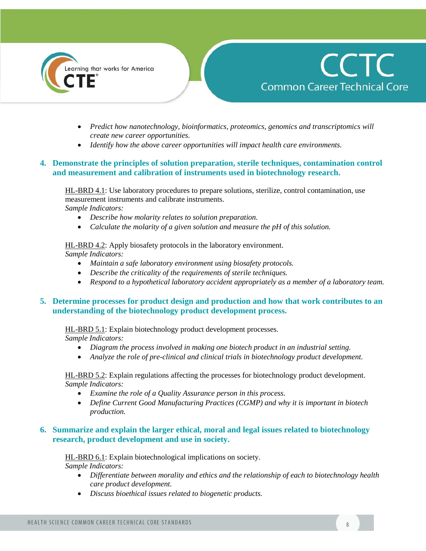



- *Predict how nanotechnology, bioinformatics, proteomics, genomics and transcriptomics will create new career opportunities.*
- *Identify how the above career opportunities will impact health care environments.*

## **4. Demonstrate the principles of solution preparation, sterile techniques, contamination control and measurement and calibration of instruments used in biotechnology research.**

HL-BRD 4.1: Use laboratory procedures to prepare solutions, sterilize, control contamination, use measurement instruments and calibrate instruments. *Sample Indicators:* 

- *Describe how molarity relates to solution preparation.*
- *Calculate the molarity of a given solution and measure the pH of this solution.*

HL-BRD 4.2: Apply biosafety protocols in the laboratory environment.

*Sample Indicators:* 

- *Maintain a safe laboratory environment using biosafety protocols.*
- *Describe the criticality of the requirements of sterile techniques.*
- *Respond to a hypothetical laboratory accident appropriately as a member of a laboratory team.*

## **5. Determine processes for product design and production and how that work contributes to an understanding of the biotechnology product development process.**

#### HL-BRD 5.1: Explain biotechnology product development processes.

*Sample Indicators:* 

- *Diagram the process involved in making one biotech product in an industrial setting.*
- *Analyze the role of pre-clinical and clinical trials in biotechnology product development.*

HL-BRD 5.2: Explain regulations affecting the processes for biotechnology product development. *Sample Indicators:* 

- *Examine the role of a Quality Assurance person in this process.*
- *Define Current Good Manufacturing Practices (CGMP) and why it is important in biotech production.*

#### **6. Summarize and explain the larger ethical, moral and legal issues related to biotechnology research, product development and use in society.**

HL-BRD 6.1: Explain biotechnological implications on society. *Sample Indicators:* 

- *Differentiate between morality and ethics and the relationship of each to biotechnology health care product development.*
- *Discuss bioethical issues related to biogenetic products.*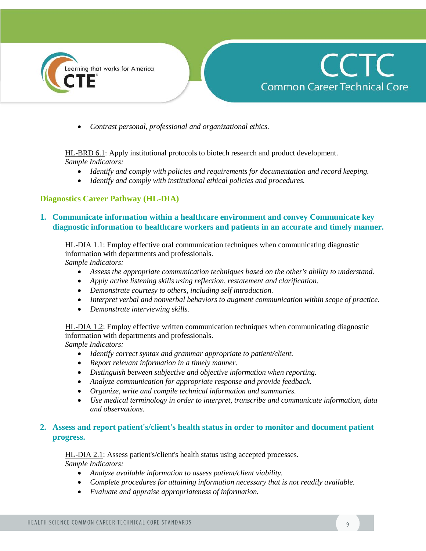



*Contrast personal, professional and organizational ethics.*

HL-BRD 6.1: Apply institutional protocols to biotech research and product development. *Sample Indicators:* 

- *Identify and comply with policies and requirements for documentation and record keeping.*
- *Identify and comply with institutional ethical policies and procedures.*

## **Diagnostics Career Pathway (HL-DIA)**

#### **1. Communicate information within a healthcare environment and convey Communicate key diagnostic information to healthcare workers and patients in an accurate and timely manner.**

HL-DIA 1.1: Employ effective oral communication techniques when communicating diagnostic information with departments and professionals.

*Sample Indicators:* 

- *Assess the appropriate communication techniques based on the other's ability to understand.*
- *Apply active listening skills using reflection, restatement and clarification.*
- *Demonstrate courtesy to others, including self introduction.*
- *Interpret verbal and nonverbal behaviors to augment communication within scope of practice.*
- *Demonstrate interviewing skills.*

HL-DIA 1.2: Employ effective written communication techniques when communicating diagnostic information with departments and professionals.

*Sample Indicators:* 

- *Identify correct syntax and grammar appropriate to patient/client.*
- *Report relevant information in a timely manner.*
- *Distinguish between subjective and objective information when reporting.*
- *Analyze communication for appropriate response and provide feedback.*
- *Organize, write and compile technical information and summaries.*
- *Use medical terminology in order to interpret, transcribe and communicate information, data and observations.*

#### **2. Assess and report patient's/client's health status in order to monitor and document patient progress.**

HL-DIA 2.1: Assess patient's/client's health status using accepted processes. *Sample Indicators:* 

- *Analyze available information to assess patient/client viability.*
- *Complete procedures for attaining information necessary that is not readily available.*
- *Evaluate and appraise appropriateness of information.*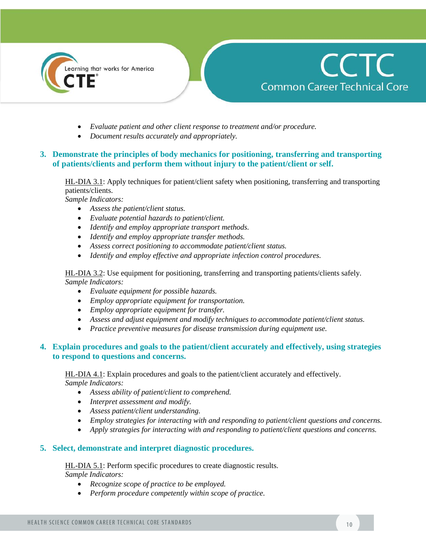

# **CCTC Common Career Technical Core**

- *Evaluate patient and other client response to treatment and/or procedure.*
- *Document results accurately and appropriately.*

## **3. Demonstrate the principles of body mechanics for positioning, transferring and transporting of patients/clients and perform them without injury to the patient/client or self.**

HL-DIA 3.1: Apply techniques for patient/client safety when positioning, transferring and transporting patients/clients.

*Sample Indicators:* 

- *Assess the patient/client status.*
- *Evaluate potential hazards to patient/client.*
- *Identify and employ appropriate transport methods.*
- *Identify and employ appropriate transfer methods.*
- *Assess correct positioning to accommodate patient/client status.*
- *Identify and employ effective and appropriate infection control procedures.*

HL-DIA 3.2: Use equipment for positioning, transferring and transporting patients/clients safely. *Sample Indicators:* 

- *Evaluate equipment for possible hazards.*
- *Employ appropriate equipment for transportation.*
- *Employ appropriate equipment for transfer.*
- *Assess and adjust equipment and modify techniques to accommodate patient/client status.*
- *Practice preventive measures for disease transmission during equipment use.*

#### **4. Explain procedures and goals to the patient/client accurately and effectively, using strategies to respond to questions and concerns.**

HL-DIA 4.1: Explain procedures and goals to the patient/client accurately and effectively. *Sample Indicators:* 

- *Assess ability of patient/client to comprehend.*
- *Interpret assessment and modify.*
- *Assess patient/client understanding.*
- *Employ strategies for interacting with and responding to patient/client questions and concerns.*
- *Apply strategies for interacting with and responding to patient/client questions and concerns.*

#### **5. Select, demonstrate and interpret diagnostic procedures.**

HL-DIA 5.1: Perform specific procedures to create diagnostic results. *Sample Indicators:* 

- *Recognize scope of practice to be employed.*
- *Perform procedure competently within scope of practice.*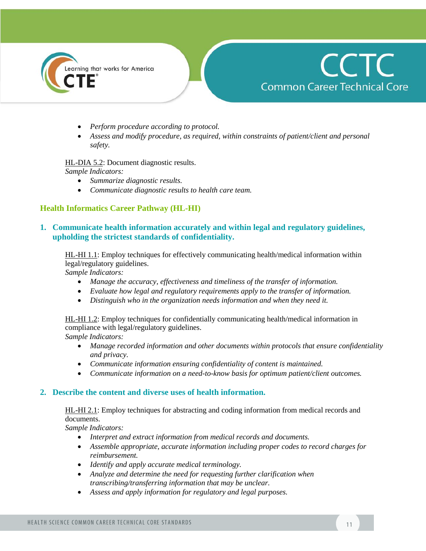



- *Perform procedure according to protocol.*
- *Assess and modify procedure, as required, within constraints of patient/client and personal safety.*

HL-DIA 5.2: Document diagnostic results. *Sample Indicators:* 

- *Summarize diagnostic results.*
- *Communicate diagnostic results to health care team.*

#### **Health Informatics Career Pathway (HL-HI)**

#### **1. Communicate health information accurately and within legal and regulatory guidelines, upholding the strictest standards of confidentiality.**

HL-HI 1.1: Employ techniques for effectively communicating health/medical information within legal/regulatory guidelines.

*Sample Indicators:* 

- *Manage the accuracy, effectiveness and timeliness of the transfer of information.*
- *Evaluate how legal and regulatory requirements apply to the transfer of information.*
- *Distinguish who in the organization needs information and when they need it.*

HL-HI 1.2: Employ techniques for confidentially communicating health/medical information in compliance with legal/regulatory guidelines.

*Sample Indicators:* 

- *Manage recorded information and other documents within protocols that ensure confidentiality and privacy.*
- *Communicate information ensuring confidentiality of content is maintained.*
- *Communicate information on a need-to-know basis for optimum patient/client outcomes.*

#### **2. Describe the content and diverse uses of health information.**

HL-HI 2.1: Employ techniques for abstracting and coding information from medical records and documents.

- *Interpret and extract information from medical records and documents.*
- *Assemble appropriate, accurate information including proper codes to record charges for reimbursement.*
- *Identify and apply accurate medical terminology.*
- *Analyze and determine the need for requesting further clarification when transcribing/transferring information that may be unclear.*
- *Assess and apply information for regulatory and legal purposes.*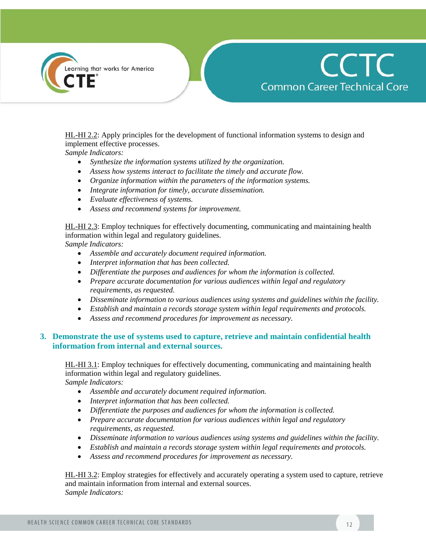



HL-HI 2.2: Apply principles for the development of functional information systems to design and implement effective processes.

*Sample Indicators:* 

- *Synthesize the information systems utilized by the organization.*
- *Assess how systems interact to facilitate the timely and accurate flow.*
- *Organize information within the parameters of the information systems.*
- *Integrate information for timely, accurate dissemination.*
- *Evaluate effectiveness of systems.*
- *Assess and recommend systems for improvement.*

HL-HI 2.3: Employ techniques for effectively documenting, communicating and maintaining health information within legal and regulatory guidelines.

*Sample Indicators:* 

- *Assemble and accurately document required information.*
- *Interpret information that has been collected.*
- *Differentiate the purposes and audiences for whom the information is collected.*
- *Prepare accurate documentation for various audiences within legal and regulatory requirements, as requested.*
- *Disseminate information to various audiences using systems and guidelines within the facility.*
- *Establish and maintain a records storage system within legal requirements and protocols.*
- *Assess and recommend procedures for improvement as necessary.*

#### **3. Demonstrate the use of systems used to capture, retrieve and maintain confidential health information from internal and external sources.**

HL-HI 3.1: Employ techniques for effectively documenting, communicating and maintaining health information within legal and regulatory guidelines.

*Sample Indicators:* 

- *Assemble and accurately document required information.*
- *Interpret information that has been collected.*
- *Differentiate the purposes and audiences for whom the information is collected.*
- *Prepare accurate documentation for various audiences within legal and regulatory requirements, as requested.*
- *Disseminate information to various audiences using systems and guidelines within the facility.*
- *Establish and maintain a records storage system within legal requirements and protocols.*
- *Assess and recommend procedures for improvement as necessary.*

HL-HI 3.2: Employ strategies for effectively and accurately operating a system used to capture, retrieve and maintain information from internal and external sources. *Sample Indicators:*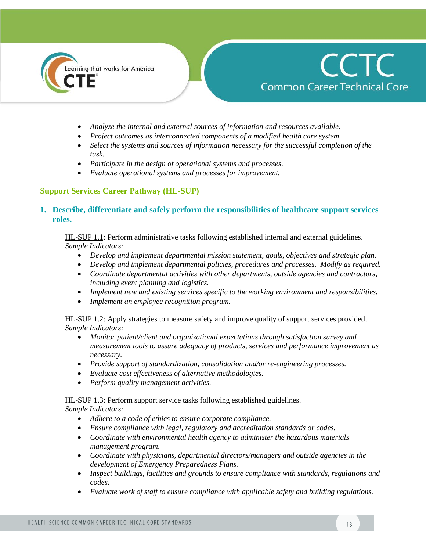

# **CCTC Common Career Technical Core**

- *Analyze the internal and external sources of information and resources available.*
- *Project outcomes as interconnected components of a modified health care system.*
- *Select the systems and sources of information necessary for the successful completion of the task.*
- *Participate in the design of operational systems and processes.*
- *Evaluate operational systems and processes for improvement.*

## **Support Services Career Pathway (HL-SUP)**

#### **1. Describe, differentiate and safely perform the responsibilities of healthcare support services roles.**

HL-SUP 1.1: Perform administrative tasks following established internal and external guidelines. *Sample Indicators:* 

- *Develop and implement departmental mission statement, goals, objectives and strategic plan.*
- *Develop and implement departmental policies, procedures and processes. Modify as required.*
- *Coordinate departmental activities with other departments, outside agencies and contractors, including event planning and logistics.*
- *Implement new and existing services specific to the working environment and responsibilities.*
- *Implement an employee recognition program.*

HL-SUP 1.2: Apply strategies to measure safety and improve quality of support services provided. *Sample Indicators:* 

- *Monitor patient/client and organizational expectations through satisfaction survey and measurement tools to assure adequacy of products, services and performance improvement as necessary.*
- *Provide support of standardization, consolidation and/or re-engineering processes.*
- *Evaluate cost effectiveness of alternative methodologies.*
- *Perform quality management activities.*

HL-SUP 1.3: Perform support service tasks following established guidelines.

- *Adhere to a code of ethics to ensure corporate compliance.*
- *Ensure compliance with legal, regulatory and accreditation standards or codes.*
- *Coordinate with environmental health agency to administer the hazardous materials management program.*
- *Coordinate with physicians, departmental directors/managers and outside agencies in the development of Emergency Preparedness Plans.*
- *Inspect buildings, facilities and grounds to ensure compliance with standards, regulations and codes.*
- *Evaluate work of staff to ensure compliance with applicable safety and building regulations.*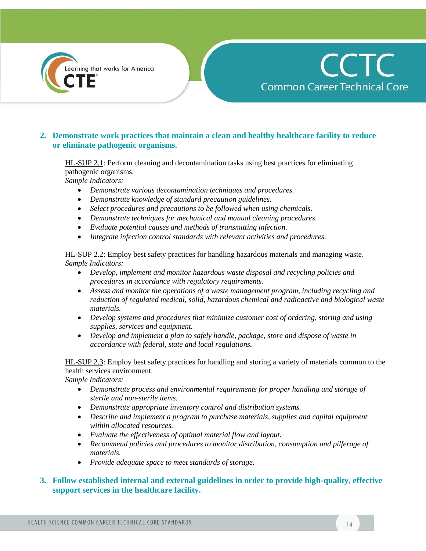



## **2. Demonstrate work practices that maintain a clean and healthy healthcare facility to reduce or eliminate pathogenic organisms.**

HL-SUP 2.1: Perform cleaning and decontamination tasks using best practices for eliminating pathogenic organisms.

*Sample Indicators:* 

- *Demonstrate various decontamination techniques and procedures.*
- *Demonstrate knowledge of standard precaution guidelines.*
- *Select procedures and precautions to be followed when using chemicals.*
- *Demonstrate techniques for mechanical and manual cleaning procedures.*
- *Evaluate potential causes and methods of transmitting infection.*
- *Integrate infection control standards with relevant activities and procedures.*

HL-SUP 2.2: Employ best safety practices for handling hazardous materials and managing waste. *Sample Indicators:* 

- *Develop, implement and monitor hazardous waste disposal and recycling policies and procedures in accordance with regulatory requirements.*
- *Assess and monitor the operations of a waste management program, including recycling and reduction of regulated medical, solid, hazardous chemical and radioactive and biological waste materials.*
- *Develop systems and procedures that minimize customer cost of ordering, storing and using supplies, services and equipment.*
- *Develop and implement a plan to safely handle, package, store and dispose of waste in accordance with federal, state and local regulations.*

HL-SUP 2.3: Employ best safety practices for handling and storing a variety of materials common to the health services environment.

*Sample Indicators:* 

- *Demonstrate process and environmental requirements for proper handling and storage of sterile and non-sterile items.*
- *Demonstrate appropriate inventory control and distribution systems.*
- *Describe and implement a program to purchase materials, supplies and capital equipment within allocated resources.*
- *Evaluate the effectiveness of optimal material flow and layout.*
- *Recommend policies and procedures to monitor distribution, consumption and pilferage of materials.*
- *Provide adequate space to meet standards of storage.*

#### **3. Follow established internal and external guidelines in order to provide high-quality, effective support services in the healthcare facility.**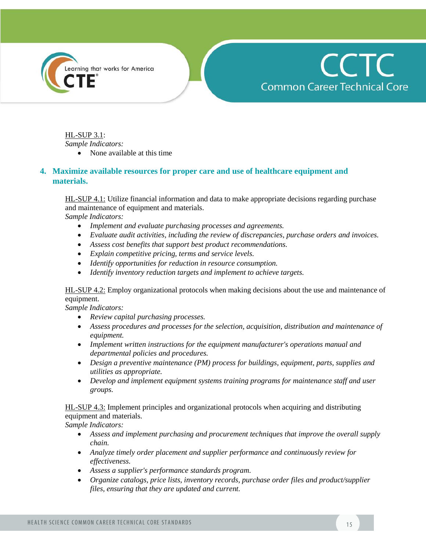



HL-SUP 3.1: *Sample Indicators:* 

• None available at this time

#### **4. Maximize available resources for proper care and use of healthcare equipment and materials.**

HL-SUP 4.1: Utilize financial information and data to make appropriate decisions regarding purchase and maintenance of equipment and materials.

*Sample Indicators:* 

- *Implement and evaluate purchasing processes and agreements.*
- *Evaluate audit activities, including the review of discrepancies, purchase orders and invoices.*
- *Assess cost benefits that support best product recommendations.*
- *Explain competitive pricing, terms and service levels.*
- *Identify opportunities for reduction in resource consumption.*
- *Identify inventory reduction targets and implement to achieve targets.*

HL-SUP 4.2: Employ organizational protocols when making decisions about the use and maintenance of equipment.

*Sample Indicators:* 

- *Review capital purchasing processes.*
- *Assess procedures and processes for the selection, acquisition, distribution and maintenance of equipment.*
- *Implement written instructions for the equipment manufacturer's operations manual and departmental policies and procedures.*
- *Design a preventive maintenance (PM) process for buildings, equipment, parts, supplies and utilities as appropriate.*
- *Develop and implement equipment systems training programs for maintenance staff and user groups.*

HL-SUP 4.3: Implement principles and organizational protocols when acquiring and distributing equipment and materials.

- *Assess and implement purchasing and procurement techniques that improve the overall supply chain.*
- *Analyze timely order placement and supplier performance and continuously review for effectiveness.*
- *Assess a supplier's performance standards program.*
- *Organize catalogs, price lists, inventory records, purchase order files and product/supplier files, ensuring that they are updated and current.*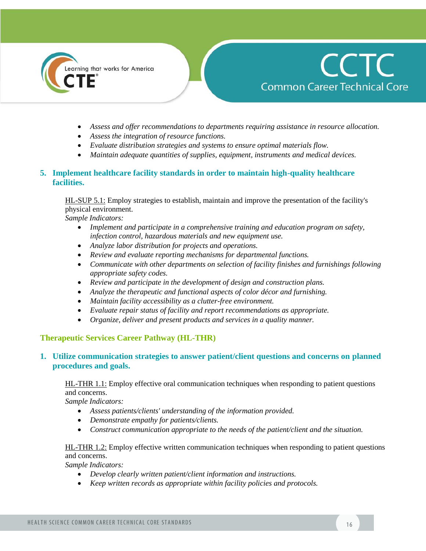



- *Assess and offer recommendations to departments requiring assistance in resource allocation.*
- *Assess the integration of resource functions.*
- *Evaluate distribution strategies and systems to ensure optimal materials flow.*
- *Maintain adequate quantities of supplies, equipment, instruments and medical devices.*

## **5. Implement healthcare facility standards in order to maintain high-quality healthcare facilities.**

HL-SUP 5.1: Employ strategies to establish, maintain and improve the presentation of the facility's physical environment.

*Sample Indicators:*

- *Implement and participate in a comprehensive training and education program on safety, infection control, hazardous materials and new equipment use.*
- *Analyze labor distribution for projects and operations.*
- *Review and evaluate reporting mechanisms for departmental functions.*
- *Communicate with other departments on selection of facility finishes and furnishings following appropriate safety codes.*
- *Review and participate in the development of design and construction plans.*
- *Analyze the therapeutic and functional aspects of color décor and furnishing.*
- *Maintain facility accessibility as a clutter-free environment.*
- *Evaluate repair status of facility and report recommendations as appropriate.*
- *Organize, deliver and present products and services in a quality manner.*

#### **Therapeutic Services Career Pathway (HL-THR)**

## **1. Utilize communication strategies to answer patient/client questions and concerns on planned procedures and goals.**

HL-THR 1.1: Employ effective oral communication techniques when responding to patient questions and concerns.

*Sample Indicators:* 

- *Assess patients/clients' understanding of the information provided.*
- *Demonstrate empathy for patients/clients.*
- *Construct communication appropriate to the needs of the patient/client and the situation.*

## HL-THR 1.2: Employ effective written communication techniques when responding to patient questions and concerns.

- *Develop clearly written patient/client information and instructions.*
- *Keep written records as appropriate within facility policies and protocols.*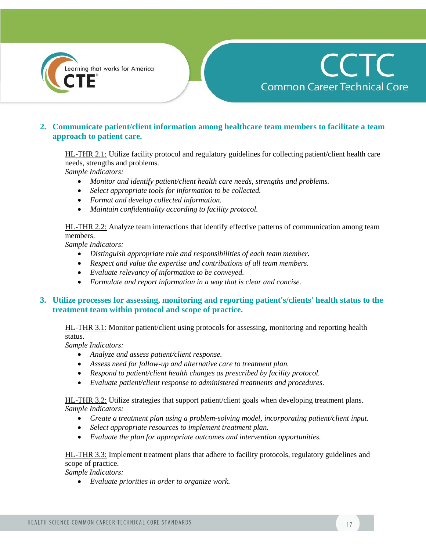

# **2. Communicate patient/client information among healthcare team members to facilitate a team approach to patient care.**

HL-THR 2.1: Utilize facility protocol and regulatory guidelines for collecting patient/client health care needs, strengths and problems.

*Sample Indicators:* 

- *Monitor and identify patient/client health care needs, strengths and problems.*
- *Select appropriate tools for information to be collected.*
- *Format and develop collected information.*
- *Maintain confidentiality according to facility protocol.*

HL-THR 2.2: Analyze team interactions that identify effective patterns of communication among team members.

*Sample Indicators:* 

- *Distinguish appropriate role and responsibilities of each team member.*
- *Respect and value the expertise and contributions of all team members.*
- *Evaluate relevancy of information to be conveyed.*
- *Formulate and report information in a way that is clear and concise.*

## **3. Utilize processes for assessing, monitoring and reporting patient's/clients' health status to the treatment team within protocol and scope of practice.**

HL-THR 3.1: Monitor patient/client using protocols for assessing, monitoring and reporting health status.

*Sample Indicators:* 

- *Analyze and assess patient/client response.*
- *Assess need for follow-up and alternative care to treatment plan.*
- *Respond to patient/client health changes as prescribed by facility protocol.*
- *Evaluate patient/client response to administered treatments and procedures.*

HL-THR 3.2: Utilize strategies that support patient/client goals when developing treatment plans. *Sample Indicators:* 

- *Create a treatment plan using a problem-solving model, incorporating patient/client input.*
- *Select appropriate resources to implement treatment plan.*
- *Evaluate the plan for appropriate outcomes and intervention opportunities.*

HL-THR 3.3: Implement treatment plans that adhere to facility protocols, regulatory guidelines and scope of practice.

*Sample Indicators:* 

*Evaluate priorities in order to organize work.*